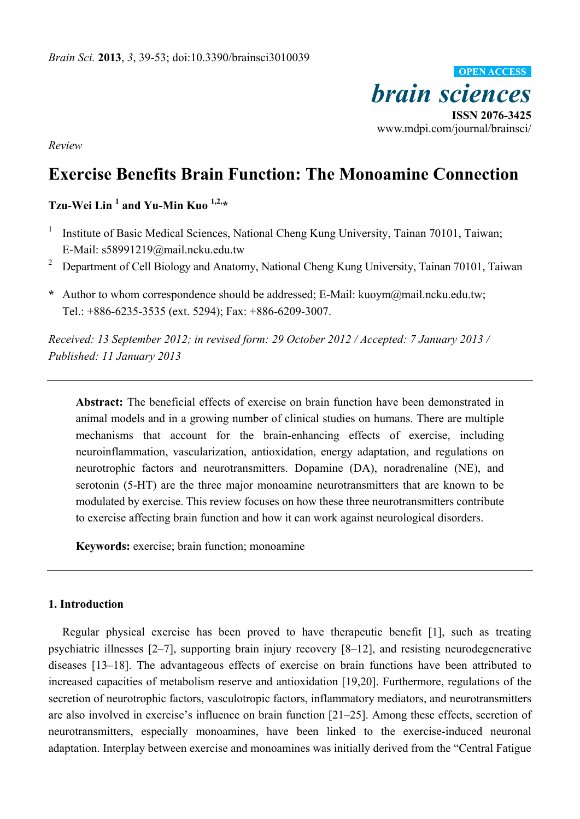

*Review* 

# **Exercise Benefits Brain Function: The Monoamine Connection**

**Tzu-Wei Lin 1 and Yu-Min Kuo 1,2,\*** 

- 1 Institute of Basic Medical Sciences, National Cheng Kung University, Tainan 70101, Taiwan; E-Mail: s58991219@mail.ncku.edu.tw
- 2 Department of Cell Biology and Anatomy, National Cheng Kung University, Tainan 70101, Taiwan
- **\*** Author to whom correspondence should be addressed; E-Mail: kuoym@mail.ncku.edu.tw; Tel.: +886-6235-3535 (ext. 5294); Fax: +886-6209-3007.

*Received: 13 September 2012; in revised form: 29 October 2012 / Accepted: 7 January 2013 / Published: 11 January 2013* 

**Abstract:** The beneficial effects of exercise on brain function have been demonstrated in animal models and in a growing number of clinical studies on humans. There are multiple mechanisms that account for the brain-enhancing effects of exercise, including neuroinflammation, vascularization, antioxidation, energy adaptation, and regulations on neurotrophic factors and neurotransmitters. Dopamine (DA), noradrenaline (NE), and serotonin (5-HT) are the three major monoamine neurotransmitters that are known to be modulated by exercise. This review focuses on how these three neurotransmitters contribute to exercise affecting brain function and how it can work against neurological disorders.

**Keywords:** exercise; brain function; monoamine

# **1. Introduction**

Regular physical exercise has been proved to have therapeutic benefit [1], such as treating psychiatric illnesses [2–7], supporting brain injury recovery [8–12], and resisting neurodegenerative diseases [13–18]. The advantageous effects of exercise on brain functions have been attributed to increased capacities of metabolism reserve and antioxidation [19,20]. Furthermore, regulations of the secretion of neurotrophic factors, vasculotropic factors, inflammatory mediators, and neurotransmitters are also involved in exercise's influence on brain function [21–25]. Among these effects, secretion of neurotransmitters, especially monoamines, have been linked to the exercise-induced neuronal adaptation. Interplay between exercise and monoamines was initially derived from the "Central Fatigue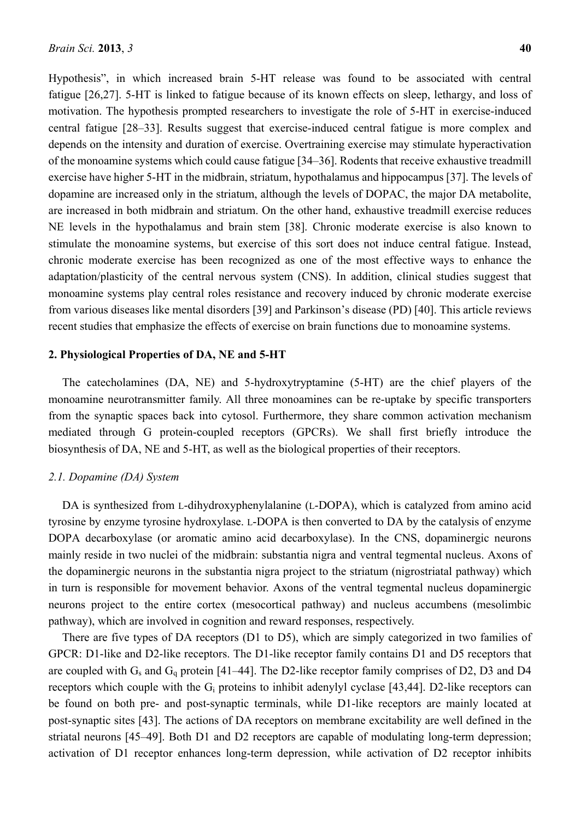Hypothesis", in which increased brain 5-HT release was found to be associated with central fatigue [26,27]. 5-HT is linked to fatigue because of its known effects on sleep, lethargy, and loss of motivation. The hypothesis prompted researchers to investigate the role of 5-HT in exercise-induced central fatigue [28–33]. Results suggest that exercise-induced central fatigue is more complex and depends on the intensity and duration of exercise. Overtraining exercise may stimulate hyperactivation of the monoamine systems which could cause fatigue [34–36]. Rodents that receive exhaustive treadmill exercise have higher 5-HT in the midbrain, striatum, hypothalamus and hippocampus [37]. The levels of dopamine are increased only in the striatum, although the levels of DOPAC, the major DA metabolite, are increased in both midbrain and striatum. On the other hand, exhaustive treadmill exercise reduces NE levels in the hypothalamus and brain stem [38]. Chronic moderate exercise is also known to stimulate the monoamine systems, but exercise of this sort does not induce central fatigue. Instead, chronic moderate exercise has been recognized as one of the most effective ways to enhance the adaptation/plasticity of the central nervous system (CNS). In addition, clinical studies suggest that monoamine systems play central roles resistance and recovery induced by chronic moderate exercise from various diseases like mental disorders [39] and Parkinson's disease (PD) [40]. This article reviews recent studies that emphasize the effects of exercise on brain functions due to monoamine systems.

## **2. Physiological Properties of DA, NE and 5-HT**

The catecholamines (DA, NE) and 5-hydroxytryptamine (5-HT) are the chief players of the monoamine neurotransmitter family. All three monoamines can be re-uptake by specific transporters from the synaptic spaces back into cytosol. Furthermore, they share common activation mechanism mediated through G protein-coupled receptors (GPCRs). We shall first briefly introduce the biosynthesis of DA, NE and 5-HT, as well as the biological properties of their receptors.

## *2.1. Dopamine (DA) System*

DA is synthesized from L-dihydroxyphenylalanine (L-DOPA), which is catalyzed from amino acid tyrosine by enzyme tyrosine hydroxylase. L-DOPA is then converted to DA by the catalysis of enzyme DOPA decarboxylase (or aromatic amino acid decarboxylase). In the CNS, dopaminergic neurons mainly reside in two nuclei of the midbrain: substantia nigra and ventral tegmental nucleus. Axons of the dopaminergic neurons in the substantia nigra project to the striatum (nigrostriatal pathway) which in turn is responsible for movement behavior. Axons of the ventral tegmental nucleus dopaminergic neurons project to the entire cortex (mesocortical pathway) and nucleus accumbens (mesolimbic pathway), which are involved in cognition and reward responses, respectively.

There are five types of DA receptors (D1 to D5), which are simply categorized in two families of GPCR: D1-like and D2-like receptors. The D1-like receptor family contains D1 and D5 receptors that are coupled with  $G_s$  and  $G_q$  protein [41–44]. The D2-like receptor family comprises of D2, D3 and D4 receptors which couple with the G<sub>i</sub> proteins to inhibit adenylyl cyclase [43,44]. D2-like receptors can be found on both pre- and post-synaptic terminals, while D1-like receptors are mainly located at post-synaptic sites [43]. The actions of DA receptors on membrane excitability are well defined in the striatal neurons [45–49]. Both D1 and D2 receptors are capable of modulating long-term depression; activation of D1 receptor enhances long-term depression, while activation of D2 receptor inhibits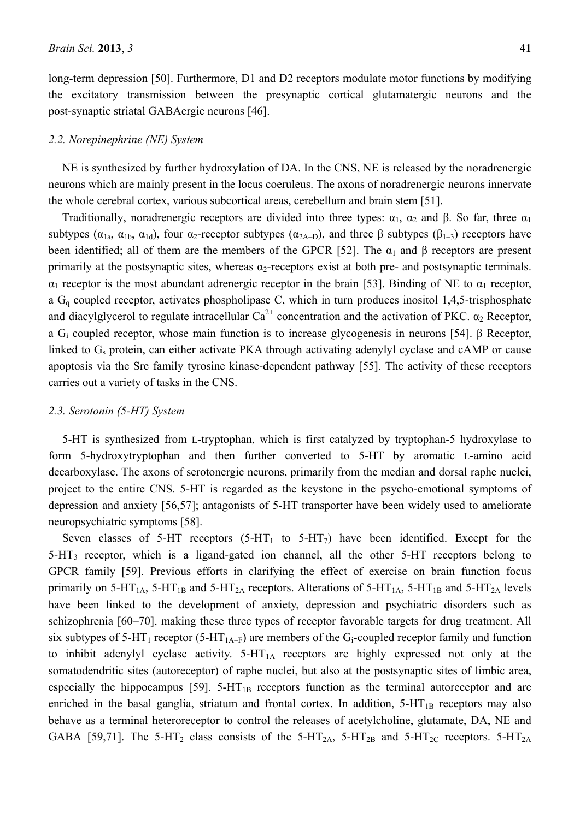long-term depression [50]. Furthermore, D1 and D2 receptors modulate motor functions by modifying the excitatory transmission between the presynaptic cortical glutamatergic neurons and the post-synaptic striatal GABAergic neurons [46].

## *2.2. Norepinephrine (NE) System*

NE is synthesized by further hydroxylation of DA. In the CNS, NE is released by the noradrenergic neurons which are mainly present in the locus coeruleus. The axons of noradrenergic neurons innervate the whole cerebral cortex, various subcortical areas, cerebellum and brain stem [51].

Traditionally, noradrenergic receptors are divided into three types:  $\alpha_1$ ,  $\alpha_2$  and β. So far, three  $\alpha_1$ subtypes ( $\alpha_{1a}$ ,  $\alpha_{1b}$ ,  $\alpha_{1d}$ ), four  $\alpha_2$ -receptor subtypes ( $\alpha_{2A-D}$ ), and three  $\beta$  subtypes ( $\beta_{1-3}$ ) receptors have been identified; all of them are the members of the GPCR [52]. The  $\alpha_1$  and  $\beta$  receptors are present primarily at the postsynaptic sites, whereas  $\alpha_2$ -receptors exist at both pre- and postsynaptic terminals.  $\alpha_1$  receptor is the most abundant adrenergic receptor in the brain [53]. Binding of NE to  $\alpha_1$  receptor, a Gq coupled receptor, activates phospholipase C, which in turn produces inositol 1,4,5-trisphosphate and diacylglycerol to regulate intracellular  $Ca^{2+}$  concentration and the activation of PKC.  $\alpha_2$  Receptor, a Gi coupled receptor, whose main function is to increase glycogenesis in neurons [54]. β Receptor, linked to G<sub>s</sub> protein, can either activate PKA through activating adenylyl cyclase and cAMP or cause apoptosis via the Src family tyrosine kinase-dependent pathway [55]. The activity of these receptors carries out a variety of tasks in the CNS.

## *2.3. Serotonin (5-HT) System*

5-HT is synthesized from L-tryptophan, which is first catalyzed by tryptophan-5 hydroxylase to form 5-hydroxytryptophan and then further converted to 5-HT by aromatic L-amino acid decarboxylase. The axons of serotonergic neurons, primarily from the median and dorsal raphe nuclei, project to the entire CNS. 5-HT is regarded as the keystone in the psycho-emotional symptoms of depression and anxiety [56,57]; antagonists of 5-HT transporter have been widely used to ameliorate neuropsychiatric symptoms [58].

Seven classes of 5-HT receptors  $(5-HT_1)$  to  $5-HT_2$ ) have been identified. Except for the 5-HT3 receptor, which is a ligand-gated ion channel, all the other 5-HT receptors belong to GPCR family [59]. Previous efforts in clarifying the effect of exercise on brain function focus primarily on 5-HT<sub>1A</sub>, 5-HT<sub>1B</sub> and 5-HT<sub>2A</sub> receptors. Alterations of 5-HT<sub>1A</sub>, 5-HT<sub>1B</sub> and 5-HT<sub>2A</sub> levels have been linked to the development of anxiety, depression and psychiatric disorders such as schizophrenia [60–70], making these three types of receptor favorable targets for drug treatment. All six subtypes of 5-HT<sub>1</sub> receptor (5-HT<sub>1A–F</sub>) are members of the G<sub>i</sub>-coupled receptor family and function to inhibit adenylyl cyclase activity.  $5-HT_{1A}$  receptors are highly expressed not only at the somatodendritic sites (autoreceptor) of raphe nuclei, but also at the postsynaptic sites of limbic area, especially the hippocampus  $[59]$ . 5-HT<sub>1B</sub> receptors function as the terminal autoreceptor and are enriched in the basal ganglia, striatum and frontal cortex. In addition,  $5-HT_{1B}$  receptors may also behave as a terminal heteroreceptor to control the releases of acetylcholine, glutamate, DA, NE and GABA [59,71]. The 5-HT<sub>2</sub> class consists of the 5-HT<sub>2A</sub>, 5-HT<sub>2B</sub> and 5-HT<sub>2C</sub> receptors. 5-HT<sub>2A</sub>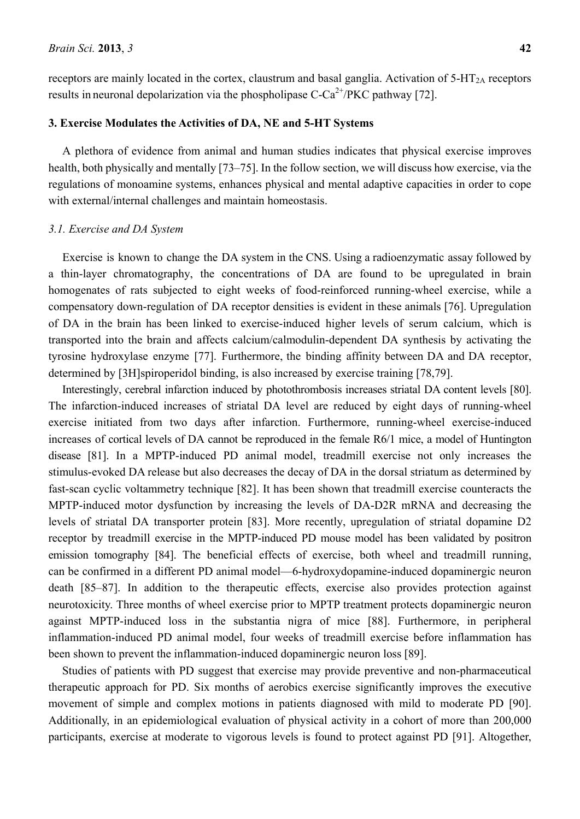receptors are mainly located in the cortex, claustrum and basal ganglia. Activation of  $5-HT<sub>2A</sub>$  receptors results in neuronal depolarization via the phospholipase  $C-Ca^{2+}/PKC$  pathway [72].

# **3. Exercise Modulates the Activities of DA, NE and 5-HT Systems**

A plethora of evidence from animal and human studies indicates that physical exercise improves health, both physically and mentally [73–75]. In the follow section, we will discuss how exercise, via the regulations of monoamine systems, enhances physical and mental adaptive capacities in order to cope with external/internal challenges and maintain homeostasis.

#### *3.1. Exercise and DA System*

Exercise is known to change the DA system in the CNS. Using a radioenzymatic assay followed by a thin-layer chromatography, the concentrations of DA are found to be upregulated in brain homogenates of rats subjected to eight weeks of food-reinforced running-wheel exercise, while a compensatory down-regulation of DA receptor densities is evident in these animals [76]. Upregulation of DA in the brain has been linked to exercise-induced higher levels of serum calcium, which is transported into the brain and affects calcium/calmodulin-dependent DA synthesis by activating the tyrosine hydroxylase enzyme [77]. Furthermore, the binding affinity between DA and DA receptor, determined by [3H]spiroperidol binding, is also increased by exercise training [78,79].

Interestingly, cerebral infarction induced by photothrombosis increases striatal DA content levels [80]. The infarction-induced increases of striatal DA level are reduced by eight days of running-wheel exercise initiated from two days after infarction. Furthermore, running-wheel exercise-induced increases of cortical levels of DA cannot be reproduced in the female R6/1 mice, a model of Huntington disease [81]. In a MPTP-induced PD animal model, treadmill exercise not only increases the stimulus-evoked DA release but also decreases the decay of DA in the dorsal striatum as determined by fast-scan cyclic voltammetry technique [82]. It has been shown that treadmill exercise counteracts the MPTP-induced motor dysfunction by increasing the levels of DA-D2R mRNA and decreasing the levels of striatal DA transporter protein [83]. More recently, upregulation of striatal dopamine D2 receptor by treadmill exercise in the MPTP-induced PD mouse model has been validated by positron emission tomography [84]. The beneficial effects of exercise, both wheel and treadmill running, can be confirmed in a different PD animal model—6-hydroxydopamine-induced dopaminergic neuron death [85–87]. In addition to the therapeutic effects, exercise also provides protection against neurotoxicity. Three months of wheel exercise prior to MPTP treatment protects dopaminergic neuron against MPTP-induced loss in the substantia nigra of mice [88]. Furthermore, in peripheral inflammation-induced PD animal model, four weeks of treadmill exercise before inflammation has been shown to prevent the inflammation-induced dopaminergic neuron loss [89].

Studies of patients with PD suggest that exercise may provide preventive and non-pharmaceutical therapeutic approach for PD. Six months of aerobics exercise significantly improves the executive movement of simple and complex motions in patients diagnosed with mild to moderate PD [90]. Additionally, in an epidemiological evaluation of physical activity in a cohort of more than 200,000 participants, exercise at moderate to vigorous levels is found to protect against PD [91]. Altogether,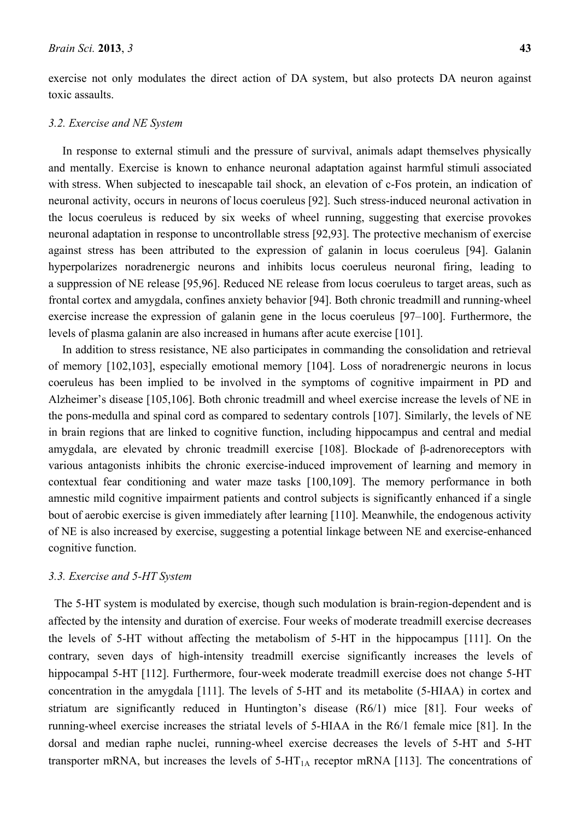exercise not only modulates the direct action of DA system, but also protects DA neuron against toxic assaults.

## *3.2. Exercise and NE System*

In response to external stimuli and the pressure of survival, animals adapt themselves physically and mentally. Exercise is known to enhance neuronal adaptation against harmful stimuli associated with stress. When subjected to inescapable tail shock, an elevation of c-Fos protein, an indication of neuronal activity, occurs in neurons of locus coeruleus [92]. Such stress-induced neuronal activation in the locus coeruleus is reduced by six weeks of wheel running, suggesting that exercise provokes neuronal adaptation in response to uncontrollable stress [92,93]. The protective mechanism of exercise against stress has been attributed to the expression of galanin in locus coeruleus [94]. Galanin hyperpolarizes noradrenergic neurons and inhibits locus coeruleus neuronal firing, leading to a suppression of NE release [95,96]. Reduced NE release from locus coeruleus to target areas, such as frontal cortex and amygdala, confines anxiety behavior [94]. Both chronic treadmill and running-wheel exercise increase the expression of galanin gene in the locus coeruleus [97–100]. Furthermore, the levels of plasma galanin are also increased in humans after acute exercise [101].

In addition to stress resistance, NE also participates in commanding the consolidation and retrieval of memory [102,103], especially emotional memory [104]. Loss of noradrenergic neurons in locus coeruleus has been implied to be involved in the symptoms of cognitive impairment in PD and Alzheimer's disease [105,106]. Both chronic treadmill and wheel exercise increase the levels of NE in the pons-medulla and spinal cord as compared to sedentary controls [107]. Similarly, the levels of NE in brain regions that are linked to cognitive function, including hippocampus and central and medial amygdala, are elevated by chronic treadmill exercise [108]. Blockade of β-adrenoreceptors with various antagonists inhibits the chronic exercise-induced improvement of learning and memory in contextual fear conditioning and water maze tasks [100,109]. The memory performance in both amnestic mild cognitive impairment patients and control subjects is significantly enhanced if a single bout of aerobic exercise is given immediately after learning [110]. Meanwhile, the endogenous activity of NE is also increased by exercise, suggesting a potential linkage between NE and exercise-enhanced cognitive function.

## *3.3. Exercise and 5-HT System*

The 5-HT system is modulated by exercise, though such modulation is brain-region-dependent and is affected by the intensity and duration of exercise. Four weeks of moderate treadmill exercise decreases the levels of 5-HT without affecting the metabolism of 5-HT in the hippocampus [111]. On the contrary, seven days of high-intensity treadmill exercise significantly increases the levels of hippocampal 5-HT [112]. Furthermore, four-week moderate treadmill exercise does not change 5-HT concentration in the amygdala [111]. The levels of 5-HT and its metabolite (5-HIAA) in cortex and striatum are significantly reduced in Huntington's disease (R6/1) mice [81]. Four weeks of running-wheel exercise increases the striatal levels of 5-HIAA in the R6/1 female mice [81]. In the dorsal and median raphe nuclei, running-wheel exercise decreases the levels of 5-HT and 5-HT transporter mRNA, but increases the levels of  $5-HT<sub>1A</sub>$  receptor mRNA [113]. The concentrations of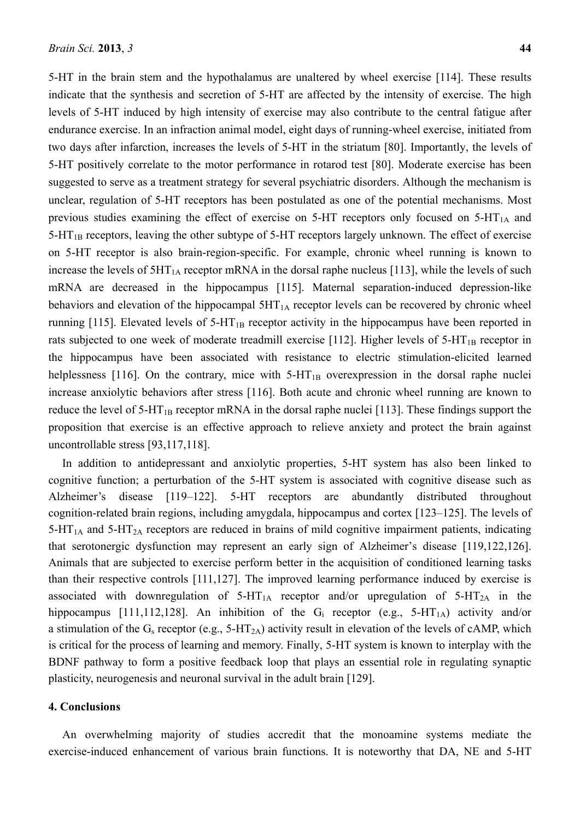5-HT in the brain stem and the hypothalamus are unaltered by wheel exercise [114]. These results indicate that the synthesis and secretion of 5-HT are affected by the intensity of exercise. The high levels of 5-HT induced by high intensity of exercise may also contribute to the central fatigue after endurance exercise. In an infraction animal model, eight days of running-wheel exercise, initiated from two days after infarction, increases the levels of 5-HT in the striatum [80]. Importantly, the levels of 5-HT positively correlate to the motor performance in rotarod test [80]. Moderate exercise has been suggested to serve as a treatment strategy for several psychiatric disorders. Although the mechanism is unclear, regulation of 5-HT receptors has been postulated as one of the potential mechanisms. Most previous studies examining the effect of exercise on 5-HT receptors only focused on  $5-HT<sub>1A</sub>$  and  $5-HT_{1B}$  receptors, leaving the other subtype of  $5-HT$  receptors largely unknown. The effect of exercise on 5-HT receptor is also brain-region-specific. For example, chronic wheel running is known to increase the levels of  $5HT<sub>1A</sub>$  receptor mRNA in the dorsal raphe nucleus [113], while the levels of such mRNA are decreased in the hippocampus [115]. Maternal separation-induced depression-like behaviors and elevation of the hippocampal  $5HT_{1A}$  receptor levels can be recovered by chronic wheel running [115]. Elevated levels of  $5-HT_{1B}$  receptor activity in the hippocampus have been reported in rats subjected to one week of moderate treadmill exercise [112]. Higher levels of  $5-HT_{1B}$  receptor in the hippocampus have been associated with resistance to electric stimulation-elicited learned helplessness [116]. On the contrary, mice with  $5-HT_{1B}$  overexpression in the dorsal raphe nuclei increase anxiolytic behaviors after stress [116]. Both acute and chronic wheel running are known to reduce the level of  $5-HT_{1B}$  receptor mRNA in the dorsal raphe nuclei [113]. These findings support the proposition that exercise is an effective approach to relieve anxiety and protect the brain against uncontrollable stress [93,117,118].

In addition to antidepressant and anxiolytic properties, 5-HT system has also been linked to cognitive function; a perturbation of the 5-HT system is associated with cognitive disease such as Alzheimer's disease [119–122]. 5-HT receptors are abundantly distributed throughout cognition-related brain regions, including amygdala, hippocampus and cortex [123–125]. The levels of  $5-HT<sub>1A</sub>$  and  $5-HT<sub>2A</sub>$  receptors are reduced in brains of mild cognitive impairment patients, indicating that serotonergic dysfunction may represent an early sign of Alzheimer's disease [119,122,126]. Animals that are subjected to exercise perform better in the acquisition of conditioned learning tasks than their respective controls [111,127]. The improved learning performance induced by exercise is associated with downregulation of  $5-HT_{1A}$  receptor and/or upregulation of  $5-HT_{2A}$  in the hippocampus [111,112,128]. An inhibition of the  $G_i$  receptor (e.g., 5-HT<sub>1A</sub>) activity and/or a stimulation of the  $G_s$  receptor (e.g., 5-HT<sub>2A</sub>) activity result in elevation of the levels of cAMP, which is critical for the process of learning and memory. Finally, 5-HT system is known to interplay with the BDNF pathway to form a positive feedback loop that plays an essential role in regulating synaptic plasticity, neurogenesis and neuronal survival in the adult brain [129].

#### **4. Conclusions**

An overwhelming majority of studies accredit that the monoamine systems mediate the exercise-induced enhancement of various brain functions. It is noteworthy that DA, NE and 5-HT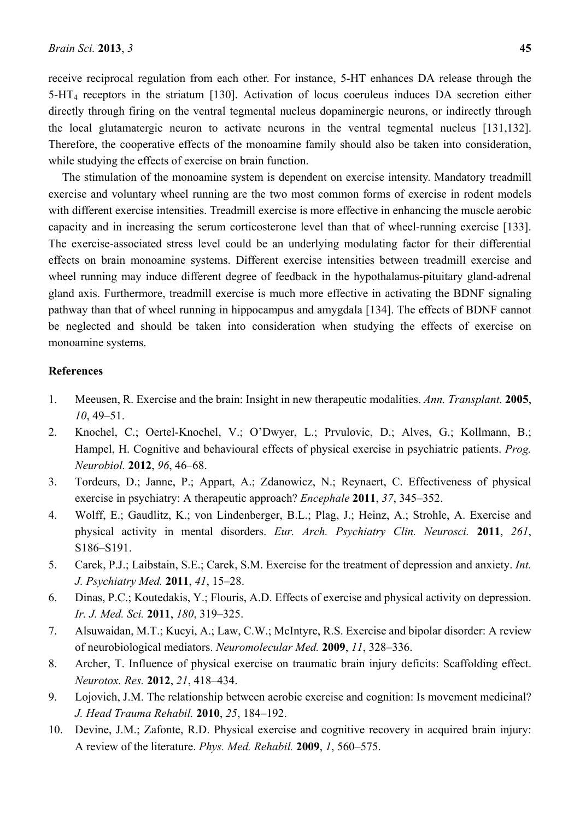receive reciprocal regulation from each other. For instance, 5-HT enhances DA release through the 5-HT4 receptors in the striatum [130]. Activation of locus coeruleus induces DA secretion either directly through firing on the ventral tegmental nucleus dopaminergic neurons, or indirectly through the local glutamatergic neuron to activate neurons in the ventral tegmental nucleus [131,132]. Therefore, the cooperative effects of the monoamine family should also be taken into consideration, while studying the effects of exercise on brain function.

The stimulation of the monoamine system is dependent on exercise intensity. Mandatory treadmill exercise and voluntary wheel running are the two most common forms of exercise in rodent models with different exercise intensities. Treadmill exercise is more effective in enhancing the muscle aerobic capacity and in increasing the serum corticosterone level than that of wheel-running exercise [133]. The exercise-associated stress level could be an underlying modulating factor for their differential effects on brain monoamine systems. Different exercise intensities between treadmill exercise and wheel running may induce different degree of feedback in the hypothalamus-pituitary gland-adrenal gland axis. Furthermore, treadmill exercise is much more effective in activating the BDNF signaling pathway than that of wheel running in hippocampus and amygdala [134]. The effects of BDNF cannot be neglected and should be taken into consideration when studying the effects of exercise on monoamine systems.

## **References**

- 1. Meeusen, R. Exercise and the brain: Insight in new therapeutic modalities. *Ann. Transplant.* **2005**, *10*, 49–51.
- 2. Knochel, C.; Oertel-Knochel, V.; O'Dwyer, L.; Prvulovic, D.; Alves, G.; Kollmann, B.; Hampel, H. Cognitive and behavioural effects of physical exercise in psychiatric patients. *Prog. Neurobiol.* **2012**, *96*, 46–68.
- 3. Tordeurs, D.; Janne, P.; Appart, A.; Zdanowicz, N.; Reynaert, C. Effectiveness of physical exercise in psychiatry: A therapeutic approach? *Encephale* **2011**, *37*, 345–352.
- 4. Wolff, E.; Gaudlitz, K.; von Lindenberger, B.L.; Plag, J.; Heinz, A.; Strohle, A. Exercise and physical activity in mental disorders. *Eur. Arch. Psychiatry Clin. Neurosci.* **2011**, *261*, S186–S191.
- 5. Carek, P.J.; Laibstain, S.E.; Carek, S.M. Exercise for the treatment of depression and anxiety. *Int. J. Psychiatry Med.* **2011**, *41*, 15–28.
- 6. Dinas, P.C.; Koutedakis, Y.; Flouris, A.D. Effects of exercise and physical activity on depression. *Ir. J. Med. Sci.* **2011**, *180*, 319–325.
- 7. Alsuwaidan, M.T.; Kucyi, A.; Law, C.W.; McIntyre, R.S. Exercise and bipolar disorder: A review of neurobiological mediators. *Neuromolecular Med.* **2009**, *11*, 328–336.
- 8. Archer, T. Influence of physical exercise on traumatic brain injury deficits: Scaffolding effect. *Neurotox. Res.* **2012**, *21*, 418–434.
- 9. Lojovich, J.M. The relationship between aerobic exercise and cognition: Is movement medicinal? *J. Head Trauma Rehabil.* **2010**, *25*, 184–192.
- 10. Devine, J.M.; Zafonte, R.D. Physical exercise and cognitive recovery in acquired brain injury: A review of the literature. *Phys. Med. Rehabil.* **2009**, *1*, 560–575.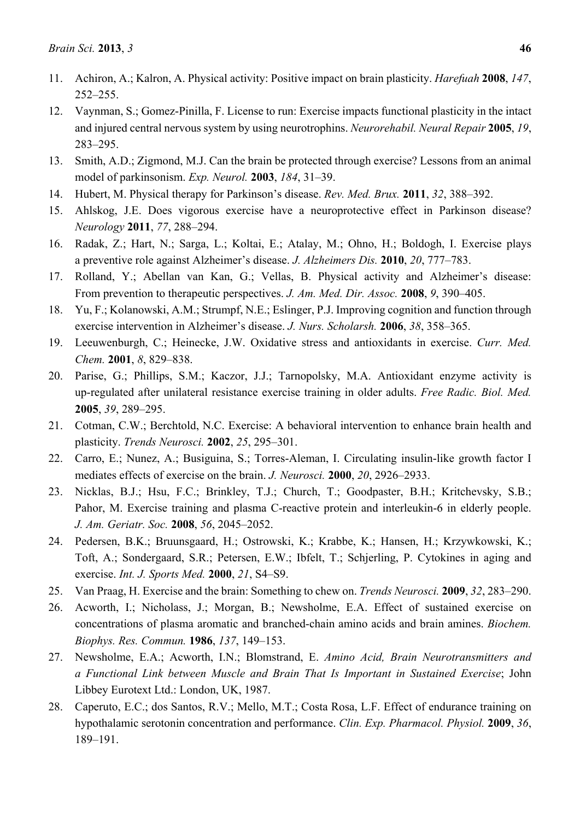- 11. Achiron, A.; Kalron, A. Physical activity: Positive impact on brain plasticity. *Harefuah* **2008**, *147*, 252–255.
- 12. Vaynman, S.; Gomez-Pinilla, F. License to run: Exercise impacts functional plasticity in the intact and injured central nervous system by using neurotrophins. *Neurorehabil. Neural Repair* **2005**, *19*, 283–295.
- 13. Smith, A.D.; Zigmond, M.J. Can the brain be protected through exercise? Lessons from an animal model of parkinsonism. *Exp. Neurol.* **2003**, *184*, 31–39.
- 14. Hubert, M. Physical therapy for Parkinson's disease. *Rev. Med. Brux.* **2011**, *32*, 388–392.
- 15. Ahlskog, J.E. Does vigorous exercise have a neuroprotective effect in Parkinson disease? *Neurology* **2011**, *77*, 288–294.
- 16. Radak, Z.; Hart, N.; Sarga, L.; Koltai, E.; Atalay, M.; Ohno, H.; Boldogh, I. Exercise plays a preventive role against Alzheimer's disease. *J. Alzheimers Dis.* **2010**, *20*, 777–783.
- 17. Rolland, Y.; Abellan van Kan, G.; Vellas, B. Physical activity and Alzheimer's disease: From prevention to therapeutic perspectives. *J. Am. Med. Dir. Assoc.* **2008**, *9*, 390–405.
- 18. Yu, F.; Kolanowski, A.M.; Strumpf, N.E.; Eslinger, P.J. Improving cognition and function through exercise intervention in Alzheimer's disease. *J. Nurs. Scholarsh.* **2006**, *38*, 358–365.
- 19. Leeuwenburgh, C.; Heinecke, J.W. Oxidative stress and antioxidants in exercise. *Curr. Med. Chem.* **2001**, *8*, 829–838.
- 20. Parise, G.; Phillips, S.M.; Kaczor, J.J.; Tarnopolsky, M.A. Antioxidant enzyme activity is up-regulated after unilateral resistance exercise training in older adults. *Free Radic. Biol. Med.*  **2005**, *39*, 289–295.
- 21. Cotman, C.W.; Berchtold, N.C. Exercise: A behavioral intervention to enhance brain health and plasticity. *Trends Neurosci.* **2002**, *25*, 295–301.
- 22. Carro, E.; Nunez, A.; Busiguina, S.; Torres-Aleman, I. Circulating insulin-like growth factor I mediates effects of exercise on the brain. *J. Neurosci.* **2000**, *20*, 2926–2933.
- 23. Nicklas, B.J.; Hsu, F.C.; Brinkley, T.J.; Church, T.; Goodpaster, B.H.; Kritchevsky, S.B.; Pahor, M. Exercise training and plasma C-reactive protein and interleukin-6 in elderly people. *J. Am. Geriatr. Soc.* **2008**, *56*, 2045–2052.
- 24. Pedersen, B.K.; Bruunsgaard, H.; Ostrowski, K.; Krabbe, K.; Hansen, H.; Krzywkowski, K.; Toft, A.; Sondergaard, S.R.; Petersen, E.W.; Ibfelt, T.; Schjerling, P. Cytokines in aging and exercise. *Int. J. Sports Med.* **2000**, *21*, S4–S9.
- 25. Van Praag, H. Exercise and the brain: Something to chew on. *Trends Neurosci.* **2009**, *32*, 283–290.
- 26. Acworth, I.; Nicholass, J.; Morgan, B.; Newsholme, E.A. Effect of sustained exercise on concentrations of plasma aromatic and branched-chain amino acids and brain amines. *Biochem. Biophys. Res. Commun.* **1986**, *137*, 149–153.
- 27. Newsholme, E.A.; Acworth, I.N.; Blomstrand, E. *Amino Acid, Brain Neurotransmitters and a Functional Link between Muscle and Brain That Is Important in Sustained Exercise*; John Libbey Eurotext Ltd.: London, UK, 1987.
- 28. Caperuto, E.C.; dos Santos, R.V.; Mello, M.T.; Costa Rosa, L.F. Effect of endurance training on hypothalamic serotonin concentration and performance. *Clin. Exp. Pharmacol. Physiol.* **2009**, *36*, 189–191.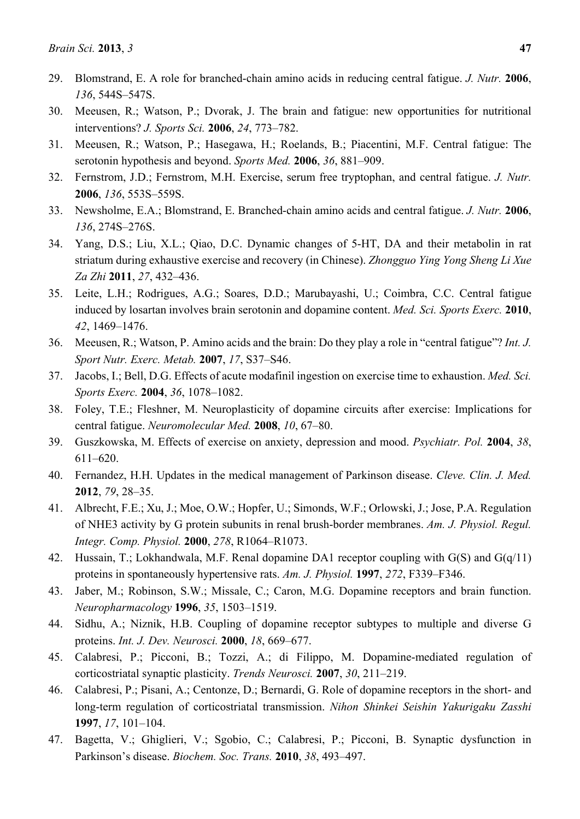- 29. Blomstrand, E. A role for branched-chain amino acids in reducing central fatigue. *J. Nutr.* **2006**, *136*, 544S–547S.
- 30. Meeusen, R.; Watson, P.; Dvorak, J. The brain and fatigue: new opportunities for nutritional interventions? *J. Sports Sci.* **2006**, *24*, 773–782.
- 31. Meeusen, R.; Watson, P.; Hasegawa, H.; Roelands, B.; Piacentini, M.F. Central fatigue: The serotonin hypothesis and beyond. *Sports Med.* **2006**, *36*, 881–909.
- 32. Fernstrom, J.D.; Fernstrom, M.H. Exercise, serum free tryptophan, and central fatigue. *J. Nutr.*  **2006**, *136*, 553S–559S.
- 33. Newsholme, E.A.; Blomstrand, E. Branched-chain amino acids and central fatigue. *J. Nutr.* **2006**, *136*, 274S–276S.
- 34. Yang, D.S.; Liu, X.L.; Qiao, D.C. Dynamic changes of 5-HT, DA and their metabolin in rat striatum during exhaustive exercise and recovery (in Chinese). *Zhongguo Ying Yong Sheng Li Xue Za Zhi* **2011**, *27*, 432–436.
- 35. Leite, L.H.; Rodrigues, A.G.; Soares, D.D.; Marubayashi, U.; Coimbra, C.C. Central fatigue induced by losartan involves brain serotonin and dopamine content. *Med. Sci. Sports Exerc.* **2010**, *42*, 1469–1476.
- 36. Meeusen, R.; Watson, P. Amino acids and the brain: Do they play a role in "central fatigue"? *Int. J. Sport Nutr. Exerc. Metab.* **2007**, *17*, S37–S46.
- 37. Jacobs, I.; Bell, D.G. Effects of acute modafinil ingestion on exercise time to exhaustion. *Med. Sci. Sports Exerc.* **2004**, *36*, 1078–1082.
- 38. Foley, T.E.; Fleshner, M. Neuroplasticity of dopamine circuits after exercise: Implications for central fatigue. *Neuromolecular Med.* **2008**, *10*, 67–80.
- 39. Guszkowska, M. Effects of exercise on anxiety, depression and mood. *Psychiatr. Pol.* **2004**, *38*, 611–620.
- 40. Fernandez, H.H. Updates in the medical management of Parkinson disease. *Cleve. Clin. J. Med.*  **2012**, *79*, 28–35.
- 41. Albrecht, F.E.; Xu, J.; Moe, O.W.; Hopfer, U.; Simonds, W.F.; Orlowski, J.; Jose, P.A. Regulation of NHE3 activity by G protein subunits in renal brush-border membranes. *Am. J. Physiol. Regul. Integr. Comp. Physiol.* **2000**, *278*, R1064–R1073.
- 42. Hussain, T.; Lokhandwala, M.F. Renal dopamine DA1 receptor coupling with  $G(S)$  and  $G(q/11)$ proteins in spontaneously hypertensive rats. *Am. J. Physiol.* **1997**, *272*, F339–F346.
- 43. Jaber, M.; Robinson, S.W.; Missale, C.; Caron, M.G. Dopamine receptors and brain function. *Neuropharmacology* **1996**, *35*, 1503–1519.
- 44. Sidhu, A.; Niznik, H.B. Coupling of dopamine receptor subtypes to multiple and diverse G proteins. *Int. J. Dev. Neurosci.* **2000**, *18*, 669–677.
- 45. Calabresi, P.; Picconi, B.; Tozzi, A.; di Filippo, M. Dopamine-mediated regulation of corticostriatal synaptic plasticity. *Trends Neurosci.* **2007**, *30*, 211–219.
- 46. Calabresi, P.; Pisani, A.; Centonze, D.; Bernardi, G. Role of dopamine receptors in the short- and long-term regulation of corticostriatal transmission. *Nihon Shinkei Seishin Yakurigaku Zasshi*  **1997**, *17*, 101–104.
- 47. Bagetta, V.; Ghiglieri, V.; Sgobio, C.; Calabresi, P.; Picconi, B. Synaptic dysfunction in Parkinson's disease. *Biochem. Soc. Trans.* **2010**, *38*, 493–497.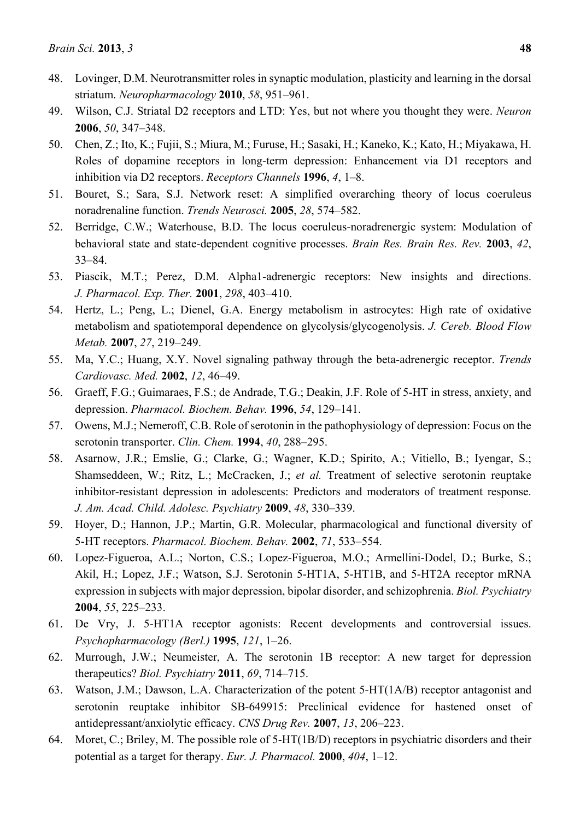- 48. Lovinger, D.M. Neurotransmitter roles in synaptic modulation, plasticity and learning in the dorsal striatum. *Neuropharmacology* **2010**, *58*, 951–961.
- 49. Wilson, C.J. Striatal D2 receptors and LTD: Yes, but not where you thought they were. *Neuron*  **2006**, *50*, 347–348.
- 50. Chen, Z.; Ito, K.; Fujii, S.; Miura, M.; Furuse, H.; Sasaki, H.; Kaneko, K.; Kato, H.; Miyakawa, H. Roles of dopamine receptors in long-term depression: Enhancement via D1 receptors and inhibition via D2 receptors. *Receptors Channels* **1996**, *4*, 1–8.
- 51. Bouret, S.; Sara, S.J. Network reset: A simplified overarching theory of locus coeruleus noradrenaline function. *Trends Neurosci.* **2005**, *28*, 574–582.
- 52. Berridge, C.W.; Waterhouse, B.D. The locus coeruleus-noradrenergic system: Modulation of behavioral state and state-dependent cognitive processes. *Brain Res. Brain Res. Rev.* **2003**, *42*, 33–84.
- 53. Piascik, M.T.; Perez, D.M. Alpha1-adrenergic receptors: New insights and directions. *J. Pharmacol. Exp. Ther.* **2001**, *298*, 403–410.
- 54. Hertz, L.; Peng, L.; Dienel, G.A. Energy metabolism in astrocytes: High rate of oxidative metabolism and spatiotemporal dependence on glycolysis/glycogenolysis. *J. Cereb. Blood Flow Metab.* **2007**, *27*, 219–249.
- 55. Ma, Y.C.; Huang, X.Y. Novel signaling pathway through the beta-adrenergic receptor. *Trends Cardiovasc. Med.* **2002**, *12*, 46–49.
- 56. Graeff, F.G.; Guimaraes, F.S.; de Andrade, T.G.; Deakin, J.F. Role of 5-HT in stress, anxiety, and depression. *Pharmacol. Biochem. Behav.* **1996**, *54*, 129–141.
- 57. Owens, M.J.; Nemeroff, C.B. Role of serotonin in the pathophysiology of depression: Focus on the serotonin transporter. *Clin. Chem.* **1994**, *40*, 288–295.
- 58. Asarnow, J.R.; Emslie, G.; Clarke, G.; Wagner, K.D.; Spirito, A.; Vitiello, B.; Iyengar, S.; Shamseddeen, W.; Ritz, L.; McCracken, J.; *et al.* Treatment of selective serotonin reuptake inhibitor-resistant depression in adolescents: Predictors and moderators of treatment response. *J. Am. Acad. Child. Adolesc. Psychiatry* **2009**, *48*, 330–339.
- 59. Hoyer, D.; Hannon, J.P.; Martin, G.R. Molecular, pharmacological and functional diversity of 5-HT receptors. *Pharmacol. Biochem. Behav.* **2002**, *71*, 533–554.
- 60. Lopez-Figueroa, A.L.; Norton, C.S.; Lopez-Figueroa, M.O.; Armellini-Dodel, D.; Burke, S.; Akil, H.; Lopez, J.F.; Watson, S.J. Serotonin 5-HT1A, 5-HT1B, and 5-HT2A receptor mRNA expression in subjects with major depression, bipolar disorder, and schizophrenia. *Biol. Psychiatry*  **2004**, *55*, 225–233.
- 61. De Vry, J. 5-HT1A receptor agonists: Recent developments and controversial issues. *Psychopharmacology (Berl.)* **1995**, *121*, 1–26.
- 62. Murrough, J.W.; Neumeister, A. The serotonin 1B receptor: A new target for depression therapeutics? *Biol. Psychiatry* **2011**, *69*, 714–715.
- 63. Watson, J.M.; Dawson, L.A. Characterization of the potent 5-HT(1A/B) receptor antagonist and serotonin reuptake inhibitor SB-649915: Preclinical evidence for hastened onset of antidepressant/anxiolytic efficacy. *CNS Drug Rev.* **2007**, *13*, 206–223.
- 64. Moret, C.; Briley, M. The possible role of 5-HT(1B/D) receptors in psychiatric disorders and their potential as a target for therapy. *Eur. J. Pharmacol.* **2000**, *404*, 1–12.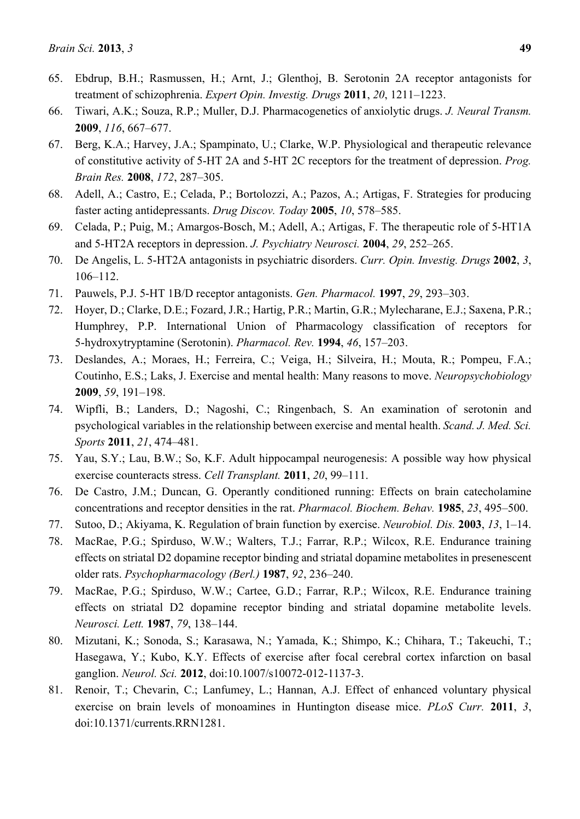- 65. Ebdrup, B.H.; Rasmussen, H.; Arnt, J.; Glenthoj, B. Serotonin 2A receptor antagonists for treatment of schizophrenia. *Expert Opin. Investig. Drugs* **2011**, *20*, 1211–1223.
- 66. Tiwari, A.K.; Souza, R.P.; Muller, D.J. Pharmacogenetics of anxiolytic drugs. *J. Neural Transm.*  **2009**, *116*, 667–677.
- 67. Berg, K.A.; Harvey, J.A.; Spampinato, U.; Clarke, W.P. Physiological and therapeutic relevance of constitutive activity of 5-HT 2A and 5-HT 2C receptors for the treatment of depression. *Prog. Brain Res.* **2008**, *172*, 287–305.
- 68. Adell, A.; Castro, E.; Celada, P.; Bortolozzi, A.; Pazos, A.; Artigas, F. Strategies for producing faster acting antidepressants. *Drug Discov. Today* **2005**, *10*, 578–585.
- 69. Celada, P.; Puig, M.; Amargos-Bosch, M.; Adell, A.; Artigas, F. The therapeutic role of 5-HT1A and 5-HT2A receptors in depression. *J. Psychiatry Neurosci.* **2004**, *29*, 252–265.
- 70. De Angelis, L. 5-HT2A antagonists in psychiatric disorders. *Curr. Opin. Investig. Drugs* **2002**, *3*, 106–112.
- 71. Pauwels, P.J. 5-HT 1B/D receptor antagonists. *Gen. Pharmacol.* **1997**, *29*, 293–303.
- 72. Hoyer, D.; Clarke, D.E.; Fozard, J.R.; Hartig, P.R.; Martin, G.R.; Mylecharane, E.J.; Saxena, P.R.; Humphrey, P.P. International Union of Pharmacology classification of receptors for 5-hydroxytryptamine (Serotonin). *Pharmacol. Rev.* **1994**, *46*, 157–203.
- 73. Deslandes, A.; Moraes, H.; Ferreira, C.; Veiga, H.; Silveira, H.; Mouta, R.; Pompeu, F.A.; Coutinho, E.S.; Laks, J. Exercise and mental health: Many reasons to move. *Neuropsychobiology*  **2009**, *59*, 191–198.
- 74. Wipfli, B.; Landers, D.; Nagoshi, C.; Ringenbach, S. An examination of serotonin and psychological variables in the relationship between exercise and mental health. *Scand. J. Med. Sci. Sports* **2011**, *21*, 474–481.
- 75. Yau, S.Y.; Lau, B.W.; So, K.F. Adult hippocampal neurogenesis: A possible way how physical exercise counteracts stress. *Cell Transplant.* **2011**, *20*, 99–111.
- 76. De Castro, J.M.; Duncan, G. Operantly conditioned running: Effects on brain catecholamine concentrations and receptor densities in the rat. *Pharmacol. Biochem. Behav.* **1985**, *23*, 495–500.
- 77. Sutoo, D.; Akiyama, K. Regulation of brain function by exercise. *Neurobiol. Dis.* **2003**, *13*, 1–14.
- 78. MacRae, P.G.; Spirduso, W.W.; Walters, T.J.; Farrar, R.P.; Wilcox, R.E. Endurance training effects on striatal D2 dopamine receptor binding and striatal dopamine metabolites in presenescent older rats. *Psychopharmacology (Berl.)* **1987**, *92*, 236–240.
- 79. MacRae, P.G.; Spirduso, W.W.; Cartee, G.D.; Farrar, R.P.; Wilcox, R.E. Endurance training effects on striatal D2 dopamine receptor binding and striatal dopamine metabolite levels. *Neurosci. Lett.* **1987**, *79*, 138–144.
- 80. Mizutani, K.; Sonoda, S.; Karasawa, N.; Yamada, K.; Shimpo, K.; Chihara, T.; Takeuchi, T.; Hasegawa, Y.; Kubo, K.Y. Effects of exercise after focal cerebral cortex infarction on basal ganglion. *Neurol. Sci.* **2012**, doi:10.1007/s10072-012-1137-3.
- 81. Renoir, T.; Chevarin, C.; Lanfumey, L.; Hannan, A.J. Effect of enhanced voluntary physical exercise on brain levels of monoamines in Huntington disease mice. *PLoS Curr.* **2011**, *3*, doi:10.1371/currents.RRN1281.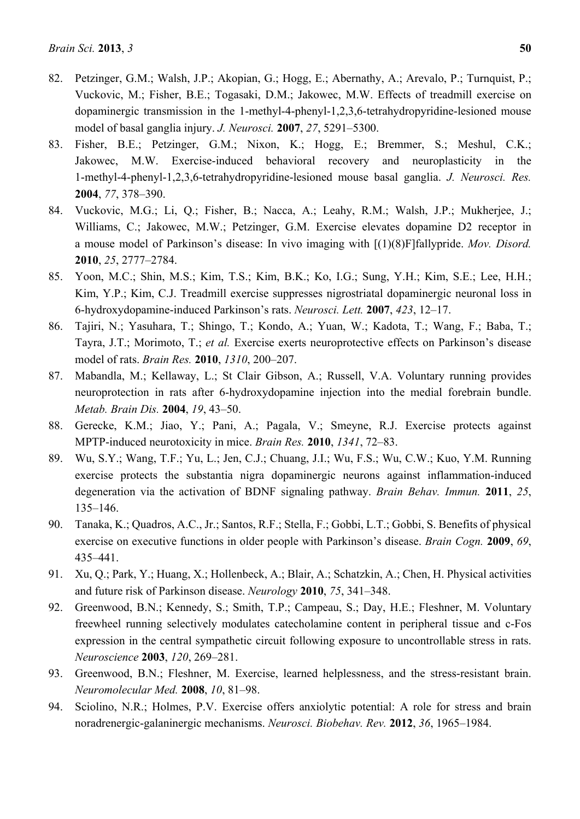- 82. Petzinger, G.M.; Walsh, J.P.; Akopian, G.; Hogg, E.; Abernathy, A.; Arevalo, P.; Turnquist, P.; Vuckovic, M.; Fisher, B.E.; Togasaki, D.M.; Jakowec, M.W. Effects of treadmill exercise on dopaminergic transmission in the 1-methyl-4-phenyl-1,2,3,6-tetrahydropyridine-lesioned mouse model of basal ganglia injury. *J. Neurosci.* **2007**, *27*, 5291–5300.
- 83. Fisher, B.E.; Petzinger, G.M.; Nixon, K.; Hogg, E.; Bremmer, S.; Meshul, C.K.; Jakowec, M.W. Exercise-induced behavioral recovery and neuroplasticity in the 1-methyl-4-phenyl-1,2,3,6-tetrahydropyridine-lesioned mouse basal ganglia. *J. Neurosci. Res.*  **2004**, *77*, 378–390.
- 84. Vuckovic, M.G.; Li, Q.; Fisher, B.; Nacca, A.; Leahy, R.M.; Walsh, J.P.; Mukherjee, J.; Williams, C.; Jakowec, M.W.; Petzinger, G.M. Exercise elevates dopamine D2 receptor in a mouse model of Parkinson's disease: In vivo imaging with [(1)(8)F]fallypride. *Mov. Disord.*  **2010**, *25*, 2777–2784.
- 85. Yoon, M.C.; Shin, M.S.; Kim, T.S.; Kim, B.K.; Ko, I.G.; Sung, Y.H.; Kim, S.E.; Lee, H.H.; Kim, Y.P.; Kim, C.J. Treadmill exercise suppresses nigrostriatal dopaminergic neuronal loss in 6-hydroxydopamine-induced Parkinson's rats. *Neurosci. Lett.* **2007**, *423*, 12–17.
- 86. Tajiri, N.; Yasuhara, T.; Shingo, T.; Kondo, A.; Yuan, W.; Kadota, T.; Wang, F.; Baba, T.; Tayra, J.T.; Morimoto, T.; *et al.* Exercise exerts neuroprotective effects on Parkinson's disease model of rats. *Brain Res.* **2010**, *1310*, 200–207.
- 87. Mabandla, M.; Kellaway, L.; St Clair Gibson, A.; Russell, V.A. Voluntary running provides neuroprotection in rats after 6-hydroxydopamine injection into the medial forebrain bundle. *Metab. Brain Dis.* **2004**, *19*, 43–50.
- 88. Gerecke, K.M.; Jiao, Y.; Pani, A.; Pagala, V.; Smeyne, R.J. Exercise protects against MPTP-induced neurotoxicity in mice. *Brain Res.* **2010**, *1341*, 72–83.
- 89. Wu, S.Y.; Wang, T.F.; Yu, L.; Jen, C.J.; Chuang, J.I.; Wu, F.S.; Wu, C.W.; Kuo, Y.M. Running exercise protects the substantia nigra dopaminergic neurons against inflammation-induced degeneration via the activation of BDNF signaling pathway. *Brain Behav. Immun.* **2011**, *25*, 135–146.
- 90. Tanaka, K.; Quadros, A.C., Jr.; Santos, R.F.; Stella, F.; Gobbi, L.T.; Gobbi, S. Benefits of physical exercise on executive functions in older people with Parkinson's disease. *Brain Cogn.* **2009**, *69*, 435–441.
- 91. Xu, Q.; Park, Y.; Huang, X.; Hollenbeck, A.; Blair, A.; Schatzkin, A.; Chen, H. Physical activities and future risk of Parkinson disease. *Neurology* **2010**, *75*, 341–348.
- 92. Greenwood, B.N.; Kennedy, S.; Smith, T.P.; Campeau, S.; Day, H.E.; Fleshner, M. Voluntary freewheel running selectively modulates catecholamine content in peripheral tissue and c-Fos expression in the central sympathetic circuit following exposure to uncontrollable stress in rats. *Neuroscience* **2003**, *120*, 269–281.
- 93. Greenwood, B.N.; Fleshner, M. Exercise, learned helplessness, and the stress-resistant brain. *Neuromolecular Med.* **2008**, *10*, 81–98.
- 94. Sciolino, N.R.; Holmes, P.V. Exercise offers anxiolytic potential: A role for stress and brain noradrenergic-galaninergic mechanisms. *Neurosci. Biobehav. Rev.* **2012**, *36*, 1965–1984.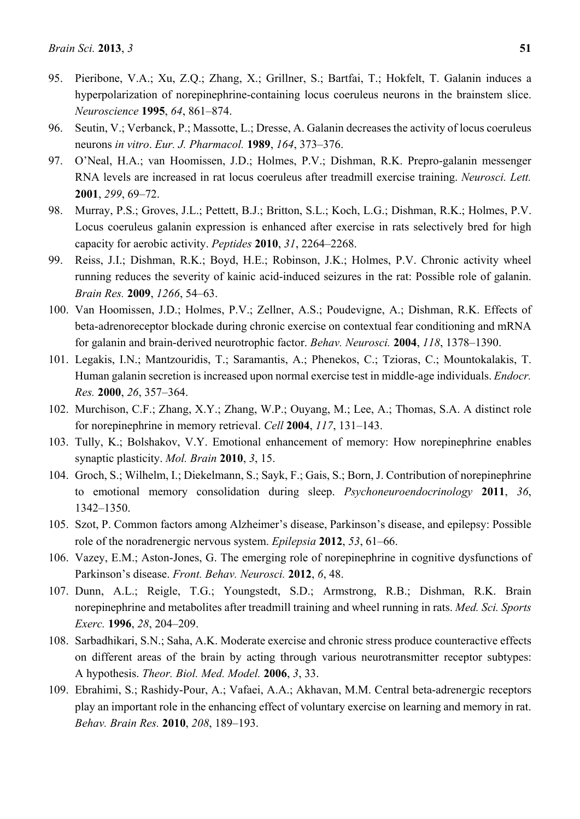- 95. Pieribone, V.A.; Xu, Z.Q.; Zhang, X.; Grillner, S.; Bartfai, T.; Hokfelt, T. Galanin induces a hyperpolarization of norepinephrine-containing locus coeruleus neurons in the brainstem slice. *Neuroscience* **1995**, *64*, 861–874.
- 96. Seutin, V.; Verbanck, P.; Massotte, L.; Dresse, A. Galanin decreases the activity of locus coeruleus neurons *in vitro*. *Eur. J. Pharmacol.* **1989**, *164*, 373–376.
- 97. O'Neal, H.A.; van Hoomissen, J.D.; Holmes, P.V.; Dishman, R.K. Prepro-galanin messenger RNA levels are increased in rat locus coeruleus after treadmill exercise training. *Neurosci. Lett.*  **2001**, *299*, 69–72.
- 98. Murray, P.S.; Groves, J.L.; Pettett, B.J.; Britton, S.L.; Koch, L.G.; Dishman, R.K.; Holmes, P.V. Locus coeruleus galanin expression is enhanced after exercise in rats selectively bred for high capacity for aerobic activity. *Peptides* **2010**, *31*, 2264–2268.
- 99. Reiss, J.I.; Dishman, R.K.; Boyd, H.E.; Robinson, J.K.; Holmes, P.V. Chronic activity wheel running reduces the severity of kainic acid-induced seizures in the rat: Possible role of galanin. *Brain Res.* **2009**, *1266*, 54–63.
- 100. Van Hoomissen, J.D.; Holmes, P.V.; Zellner, A.S.; Poudevigne, A.; Dishman, R.K. Effects of beta-adrenoreceptor blockade during chronic exercise on contextual fear conditioning and mRNA for galanin and brain-derived neurotrophic factor. *Behav. Neurosci.* **2004**, *118*, 1378–1390.
- 101. Legakis, I.N.; Mantzouridis, T.; Saramantis, A.; Phenekos, C.; Tzioras, C.; Mountokalakis, T. Human galanin secretion is increased upon normal exercise test in middle-age individuals. *Endocr. Res.* **2000**, *26*, 357–364.
- 102. Murchison, C.F.; Zhang, X.Y.; Zhang, W.P.; Ouyang, M.; Lee, A.; Thomas, S.A. A distinct role for norepinephrine in memory retrieval. *Cell* **2004**, *117*, 131–143.
- 103. Tully, K.; Bolshakov, V.Y. Emotional enhancement of memory: How norepinephrine enables synaptic plasticity. *Mol. Brain* **2010**, *3*, 15.
- 104. Groch, S.; Wilhelm, I.; Diekelmann, S.; Sayk, F.; Gais, S.; Born, J. Contribution of norepinephrine to emotional memory consolidation during sleep. *Psychoneuroendocrinology* **2011**, *36*, 1342–1350.
- 105. Szot, P. Common factors among Alzheimer's disease, Parkinson's disease, and epilepsy: Possible role of the noradrenergic nervous system. *Epilepsia* **2012**, *53*, 61–66.
- 106. Vazey, E.M.; Aston-Jones, G. The emerging role of norepinephrine in cognitive dysfunctions of Parkinson's disease. *Front. Behav. Neurosci.* **2012**, *6*, 48.
- 107. Dunn, A.L.; Reigle, T.G.; Youngstedt, S.D.; Armstrong, R.B.; Dishman, R.K. Brain norepinephrine and metabolites after treadmill training and wheel running in rats. *Med. Sci. Sports Exerc.* **1996**, *28*, 204–209.
- 108. Sarbadhikari, S.N.; Saha, A.K. Moderate exercise and chronic stress produce counteractive effects on different areas of the brain by acting through various neurotransmitter receptor subtypes: A hypothesis. *Theor. Biol. Med. Model.* **2006**, *3*, 33.
- 109. Ebrahimi, S.; Rashidy-Pour, A.; Vafaei, A.A.; Akhavan, M.M. Central beta-adrenergic receptors play an important role in the enhancing effect of voluntary exercise on learning and memory in rat. *Behav. Brain Res.* **2010**, *208*, 189–193.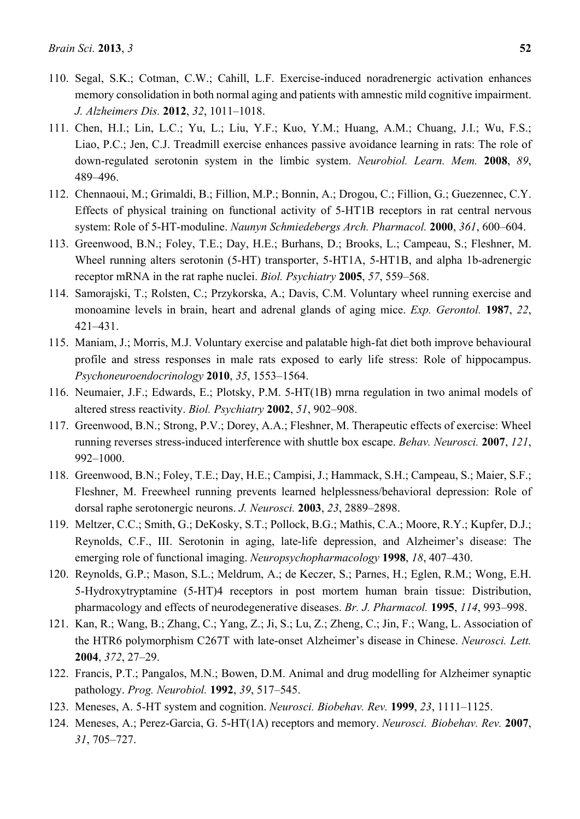- 110. Segal, S.K.; Cotman, C.W.; Cahill, L.F. Exercise-induced noradrenergic activation enhances memory consolidation in both normal aging and patients with amnestic mild cognitive impairment. *J. Alzheimers Dis.* **2012**, *32*, 1011–1018.
- 111. Chen, H.I.; Lin, L.C.; Yu, L.; Liu, Y.F.; Kuo, Y.M.; Huang, A.M.; Chuang, J.I.; Wu, F.S.; Liao, P.C.; Jen, C.J. Treadmill exercise enhances passive avoidance learning in rats: The role of down-regulated serotonin system in the limbic system. *Neurobiol. Learn. Mem.* **2008**, *89*, 489–496.
- 112. Chennaoui, M.; Grimaldi, B.; Fillion, M.P.; Bonnin, A.; Drogou, C.; Fillion, G.; Guezennec, C.Y. Effects of physical training on functional activity of 5-HT1B receptors in rat central nervous system: Role of 5-HT-moduline. *Naunyn Schmiedebergs Arch. Pharmacol.* **2000**, *361*, 600–604.
- 113. Greenwood, B.N.; Foley, T.E.; Day, H.E.; Burhans, D.; Brooks, L.; Campeau, S.; Fleshner, M. Wheel running alters serotonin (5-HT) transporter, 5-HT1A, 5-HT1B, and alpha 1b-adrenergic receptor mRNA in the rat raphe nuclei. *Biol. Psychiatry* **2005**, *57*, 559–568.
- 114. Samorajski, T.; Rolsten, C.; Przykorska, A.; Davis, C.M. Voluntary wheel running exercise and monoamine levels in brain, heart and adrenal glands of aging mice. *Exp. Gerontol.* **1987**, *22*, 421–431.
- 115. Maniam, J.; Morris, M.J. Voluntary exercise and palatable high-fat diet both improve behavioural profile and stress responses in male rats exposed to early life stress: Role of hippocampus. *Psychoneuroendocrinology* **2010**, *35*, 1553–1564.
- 116. Neumaier, J.F.; Edwards, E.; Plotsky, P.M. 5-HT(1B) mrna regulation in two animal models of altered stress reactivity. *Biol. Psychiatry* **2002**, *51*, 902–908.
- 117. Greenwood, B.N.; Strong, P.V.; Dorey, A.A.; Fleshner, M. Therapeutic effects of exercise: Wheel running reverses stress-induced interference with shuttle box escape. *Behav. Neurosci.* **2007**, *121*, 992–1000.
- 118. Greenwood, B.N.; Foley, T.E.; Day, H.E.; Campisi, J.; Hammack, S.H.; Campeau, S.; Maier, S.F.; Fleshner, M. Freewheel running prevents learned helplessness/behavioral depression: Role of dorsal raphe serotonergic neurons. *J. Neurosci.* **2003**, *23*, 2889–2898.
- 119. Meltzer, C.C.; Smith, G.; DeKosky, S.T.; Pollock, B.G.; Mathis, C.A.; Moore, R.Y.; Kupfer, D.J.; Reynolds, C.F., III. Serotonin in aging, late-life depression, and Alzheimer's disease: The emerging role of functional imaging. *Neuropsychopharmacology* **1998**, *18*, 407–430.
- 120. Reynolds, G.P.; Mason, S.L.; Meldrum, A.; de Keczer, S.; Parnes, H.; Eglen, R.M.; Wong, E.H. 5-Hydroxytryptamine (5-HT)4 receptors in post mortem human brain tissue: Distribution, pharmacology and effects of neurodegenerative diseases. *Br. J. Pharmacol.* **1995**, *114*, 993–998.
- 121. Kan, R.; Wang, B.; Zhang, C.; Yang, Z.; Ji, S.; Lu, Z.; Zheng, C.; Jin, F.; Wang, L. Association of the HTR6 polymorphism C267T with late-onset Alzheimer's disease in Chinese. *Neurosci. Lett.*  **2004**, *372*, 27–29.
- 122. Francis, P.T.; Pangalos, M.N.; Bowen, D.M. Animal and drug modelling for Alzheimer synaptic pathology. *Prog. Neurobiol.* **1992**, *39*, 517–545.
- 123. Meneses, A. 5-HT system and cognition. *Neurosci. Biobehav. Rev.* **1999**, *23*, 1111–1125.
- 124. Meneses, A.; Perez-Garcia, G. 5-HT(1A) receptors and memory. *Neurosci. Biobehav. Rev.* **2007**, *31*, 705–727.